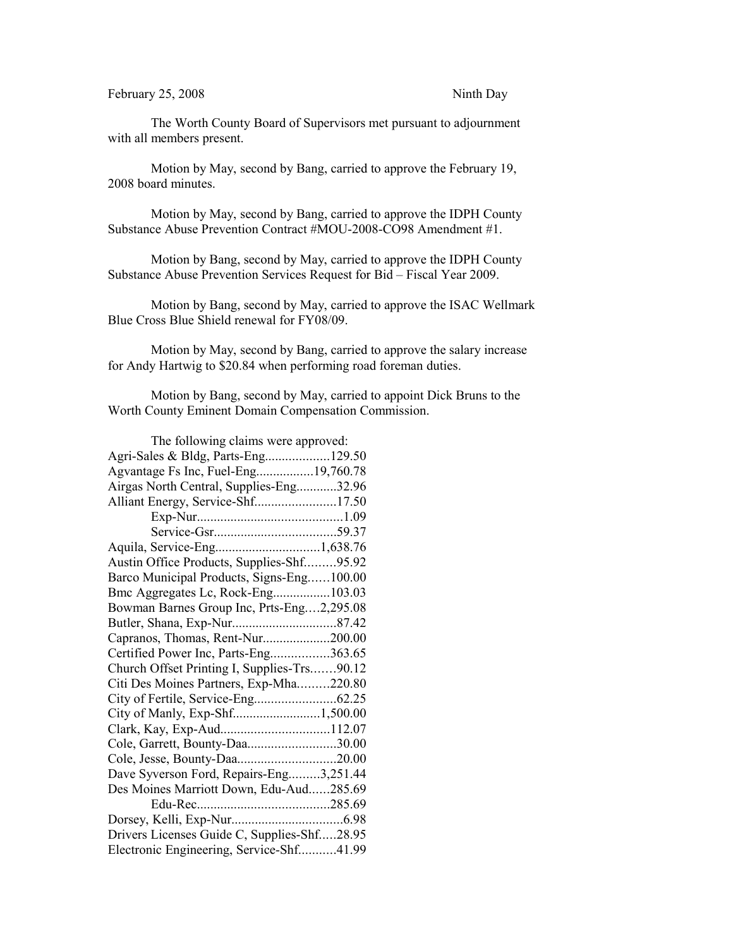February 25, 2008 Ninth Day

The Worth County Board of Supervisors met pursuant to adjournment with all members present.

Motion by May, second by Bang, carried to approve the February 19, 2008 board minutes.

Motion by May, second by Bang, carried to approve the IDPH County Substance Abuse Prevention Contract #MOU-2008-CO98 Amendment #1.

Motion by Bang, second by May, carried to approve the IDPH County Substance Abuse Prevention Services Request for Bid – Fiscal Year 2009.

Motion by Bang, second by May, carried to approve the ISAC Wellmark Blue Cross Blue Shield renewal for FY08/09.

Motion by May, second by Bang, carried to approve the salary increase for Andy Hartwig to \$20.84 when performing road foreman duties.

Motion by Bang, second by May, carried to appoint Dick Bruns to the Worth County Eminent Domain Compensation Commission.

| The following claims were approved:         |  |
|---------------------------------------------|--|
| Agri-Sales & Bldg, Parts-Eng129.50          |  |
| Agvantage Fs Inc, Fuel-Eng19,760.78         |  |
| Airgas North Central, Supplies-Eng32.96     |  |
| Alliant Energy, Service-Shf17.50            |  |
|                                             |  |
|                                             |  |
|                                             |  |
| Austin Office Products, Supplies-Shf95.92   |  |
| Barco Municipal Products, Signs-Eng100.00   |  |
| Bmc Aggregates Lc, Rock-Eng103.03           |  |
| Bowman Barnes Group Inc, Prts-Eng2,295.08   |  |
|                                             |  |
| Capranos, Thomas, Rent-Nur200.00            |  |
| Certified Power Inc, Parts-Eng363.65        |  |
| Church Offset Printing I, Supplies-Trs90.12 |  |
| Citi Des Moines Partners, Exp-Mha220.80     |  |
|                                             |  |
| City of Manly, Exp-Shf1,500.00              |  |
| Clark, Kay, Exp-Aud112.07                   |  |
| Cole, Garrett, Bounty-Daa30.00              |  |
|                                             |  |
| Dave Syverson Ford, Repairs-Eng3,251.44     |  |
| Des Moines Marriott Down, Edu-Aud285.69     |  |
|                                             |  |
|                                             |  |
| Drivers Licenses Guide C, Supplies-Shf28.95 |  |
| Electronic Engineering, Service-Shf41.99    |  |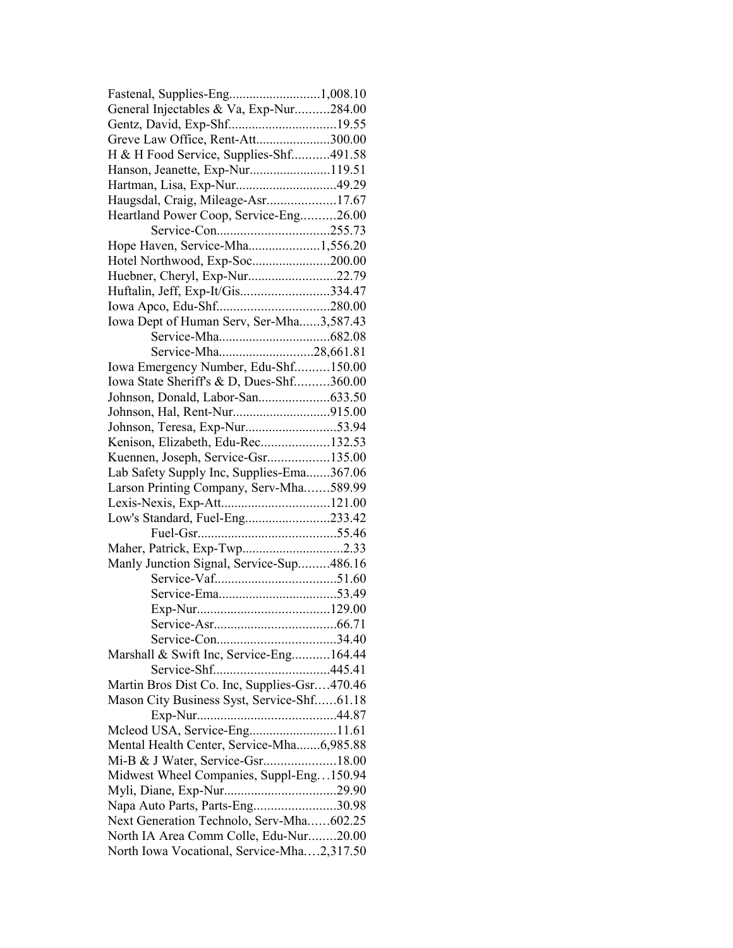| General Injectables & Va, Exp-Nur284.00      |  |
|----------------------------------------------|--|
| Gentz, David, Exp-Shf19.55                   |  |
| Greve Law Office, Rent-Att300.00             |  |
| H & H Food Service, Supplies-Shf491.58       |  |
| Hanson, Jeanette, Exp-Nur119.51              |  |
| Hartman, Lisa, Exp-Nur49.29                  |  |
| Haugsdal, Craig, Mileage-Asr17.67            |  |
| Heartland Power Coop, Service-Eng26.00       |  |
|                                              |  |
| Hope Haven, Service-Mha1,556.20              |  |
| Hotel Northwood, Exp-Soc200.00               |  |
| Huebner, Cheryl, Exp-Nur22.79                |  |
| Huftalin, Jeff, Exp-It/Gis334.47             |  |
|                                              |  |
| Iowa Dept of Human Serv, Ser-Mha3,587.43     |  |
|                                              |  |
|                                              |  |
| Service-Mha28,661.81                         |  |
| Iowa Emergency Number, Edu-Shf150.00         |  |
| Iowa State Sheriff's & D, Dues-Shf360.00     |  |
|                                              |  |
|                                              |  |
|                                              |  |
| Kenison, Elizabeth, Edu-Rec132.53            |  |
| Kuennen, Joseph, Service-Gsr135.00           |  |
| Lab Safety Supply Inc, Supplies-Ema367.06    |  |
| Larson Printing Company, Serv-Mha589.99      |  |
|                                              |  |
| Low's Standard, Fuel-Eng233.42               |  |
|                                              |  |
|                                              |  |
| Manly Junction Signal, Service-Sup486.16     |  |
|                                              |  |
|                                              |  |
|                                              |  |
|                                              |  |
|                                              |  |
| Marshall & Swift Inc, Service-Eng164.44      |  |
|                                              |  |
| Martin Bros Dist Co. Inc, Supplies-Gsr470.46 |  |
| Mason City Business Syst, Service-Shf61.18   |  |
|                                              |  |
| Mcleod USA, Service-Eng11.61                 |  |
| Mental Health Center, Service-Mha6,985.88    |  |
|                                              |  |
| Mi-B & J Water, Service-Gsr18.00             |  |
| Midwest Wheel Companies, Suppl-Eng150.94     |  |
|                                              |  |
| Napa Auto Parts, Parts-Eng30.98              |  |
| Next Generation Technolo, Serv-Mha602.25     |  |
| North IA Area Comm Colle, Edu-Nur20.00       |  |
| North Iowa Vocational, Service-Mha2,317.50   |  |